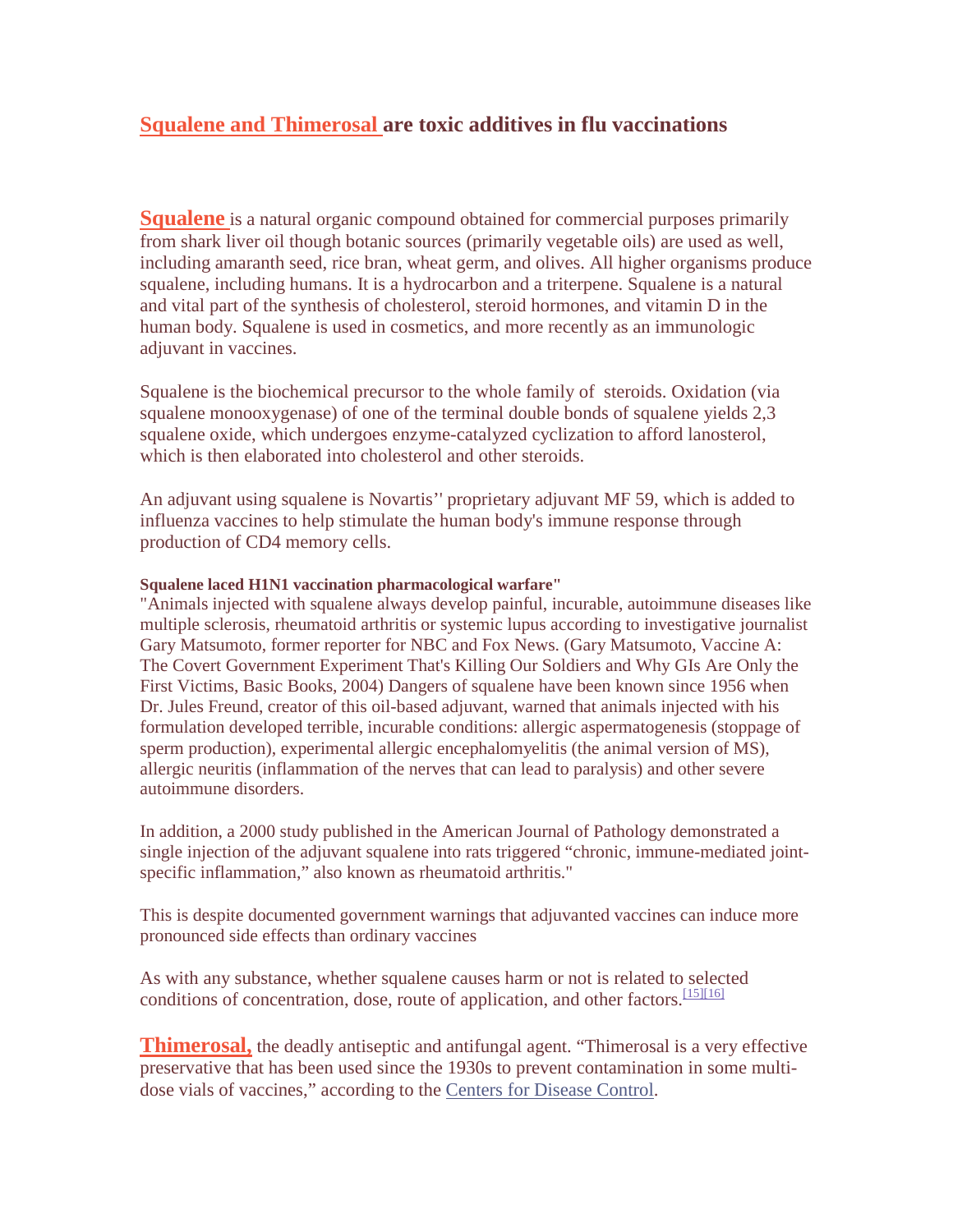## **Squalene and Thimerosal are toxic additives in flu vaccinations**

**Squalene** is a natural organic compound obtained for commercial purposes primarily from shark liver oil though botanic sources (primarily vegetable oils) are used as well, including amaranth seed, rice bran, wheat germ, and olives. All higher organisms produce squalene, including humans. It is a hydrocarbon and a triterpene. Squalene is a natural and vital part of the synthesis of cholesterol, steroid hormones, and vitamin D in the human body. Squalene is used in cosmetics, and more recently as an immunologic adjuvant in vaccines.

Squalene is the biochemical precursor to the whole family of steroids. Oxidation (via squalene monooxygenase) of one of the terminal double bonds of squalene yields 2,3 squalene oxide, which undergoes enzyme-catalyzed cyclization to afford lanosterol, which is then elaborated into cholesterol and other steroids.

An adjuvant using squalene is Novartis'' proprietary adjuvant MF 59, which is added to influenza vaccines to help stimulate the human body's immune response through production of CD4 memory cells.

## **Squalene laced H1N1 vaccination pharmacological warfare"**

"Animals injected with squalene always develop painful, incurable, autoimmune diseases like multiple sclerosis, rheumatoid arthritis or systemic lupus according to investigative journalist Gary Matsumoto, former reporter for NBC and Fox News. (Gary Matsumoto, Vaccine A: The Covert Government Experiment That's Killing Our Soldiers and Why GIs Are Only the First Victims, Basic Books, 2004) Dangers of squalene have been known since 1956 when Dr. Jules Freund, creator of this oil-based adjuvant, warned that animals injected with his formulation developed terrible, incurable conditions: allergic aspermatogenesis (stoppage of sperm production), experimental allergic encephalomyelitis (the animal version of MS), allergic neuritis (inflammation of the nerves that can lead to paralysis) and other severe autoimmune disorders.

In addition, a 2000 study published in the American Journal of Pathology demonstrated a single injection of the adjuvant squalene into rats triggered "chronic, immune-mediated jointspecific inflammation," also known as rheumatoid arthritis."

This is despite documented government warnings that adjuvanted vaccines can induce more pronounced side effects than ordinary vaccines

As with any substance, whether squalene causes harm or not is related to selected conditions of concentration, dose, route of application, and other factors.<sup>[15][16]</sup>

**Thimerosal,** the deadly antiseptic and antifungal agent. "Thimerosal is a very effective preservative that has been used since the 1930s to prevent contamination in some multidose vials of vaccines," according to the Centers for Disease Control.